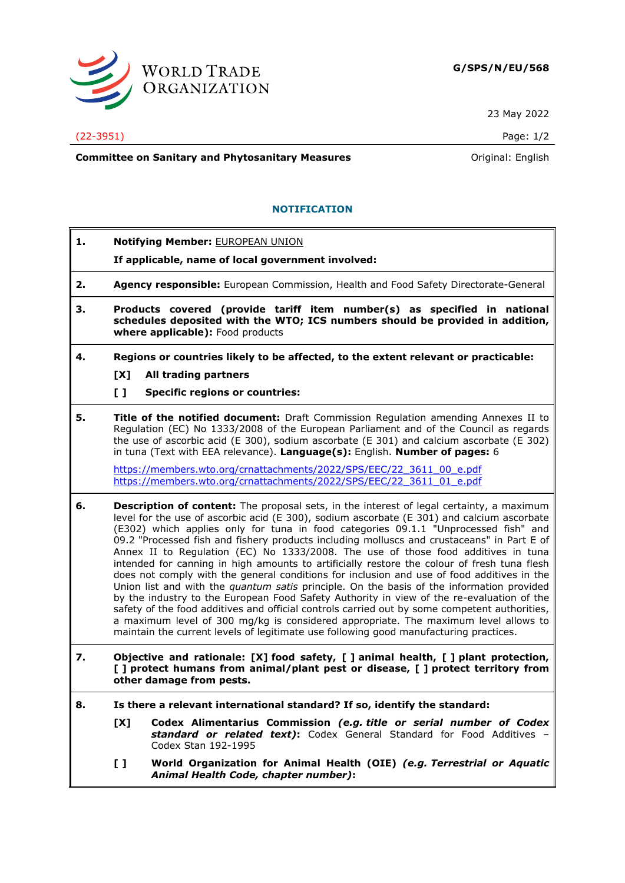

23 May 2022

## (22-3951) Page: 1/2

**Committee on Sanitary and Phytosanitary Measures Committee on Sanitary and Phytosanitary Measures Committee And American** 

## **NOTIFICATION**

- **1. Notifying Member:** EUROPEAN UNION
	- **If applicable, name of local government involved:**
- **2. Agency responsible:** European Commission, Health and Food Safety Directorate-General
- **3. Products covered (provide tariff item number(s) as specified in national schedules deposited with the WTO; ICS numbers should be provided in addition, where applicable):** Food products
- **4. Regions or countries likely to be affected, to the extent relevant or practicable:**
	- **[X] All trading partners**
	- **[ ] Specific regions or countries:**
- **5. Title of the notified document:** Draft Commission Regulation amending Annexes II to Regulation (EC) No 1333/2008 of the European Parliament and of the Council as regards the use of ascorbic acid (E 300), sodium ascorbate (E 301) and calcium ascorbate (E 302) in tuna (Text with EEA relevance). **Language(s):** English. **Number of pages:** 6

[https://members.wto.org/crnattachments/2022/SPS/EEC/22\\_3611\\_00\\_e.pdf](https://members.wto.org/crnattachments/2022/SPS/EEC/22_3611_00_e.pdf) [https://members.wto.org/crnattachments/2022/SPS/EEC/22\\_3611\\_01\\_e.pdf](https://members.wto.org/crnattachments/2022/SPS/EEC/22_3611_01_e.pdf)

- **6. Description of content:** The proposal sets, in the interest of legal certainty, a maximum level for the use of ascorbic acid (E 300), sodium ascorbate (E 301) and calcium ascorbate (E302) which applies only for tuna in food categories 09.1.1 "Unprocessed fish" and 09.2 "Processed fish and fishery products including molluscs and crustaceans" in Part E of Annex II to Regulation (EC) No 1333/2008. The use of those food additives in tuna intended for canning in high amounts to artificially restore the colour of fresh tuna flesh does not comply with the general conditions for inclusion and use of food additives in the Union list and with the *quantum satis* principle. On the basis of the information provided by the industry to the European Food Safety Authority in view of the re-evaluation of the safety of the food additives and official controls carried out by some competent authorities, a maximum level of 300 mg/kg is considered appropriate. The maximum level allows to maintain the current levels of legitimate use following good manufacturing practices.
- **7. Objective and rationale: [X] food safety, [ ] animal health, [ ] plant protection, [ ] protect humans from animal/plant pest or disease, [ ] protect territory from other damage from pests.**
- **8. Is there a relevant international standard? If so, identify the standard:**
	- **[X] Codex Alimentarius Commission** *(e.g. title or serial number of Codex standard or related text)***:** Codex General Standard for Food Additives – Codex Stan 192-1995
	- **[ ] World Organization for Animal Health (OIE)** *(e.g. Terrestrial or Aquatic Animal Health Code, chapter number)***:**